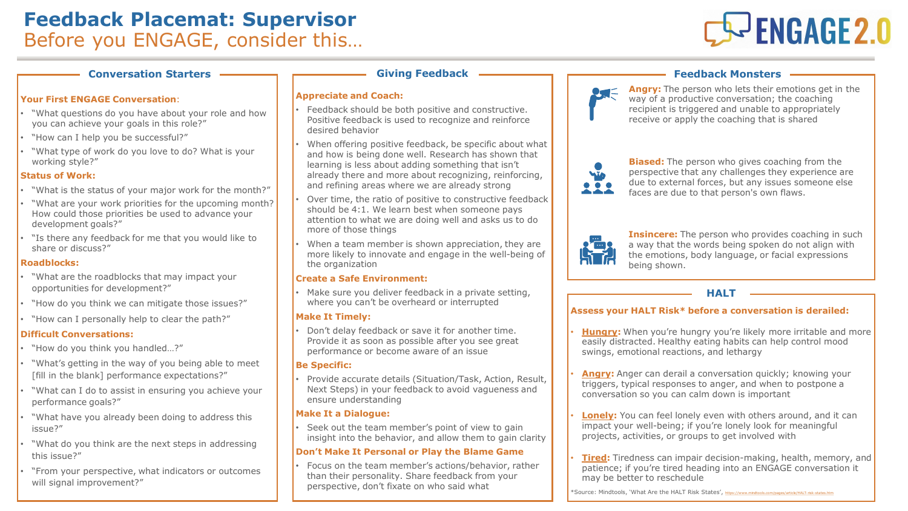

#### **Conversation Starters** —————————————— Giving Feedback ——————————————————————— Feedback Monsters

#### **Your First ENGAGE Conversation**:

- "What questions do you have about your role and how you can achieve your goals in this role?"
- "How can I help you be successful?"
- "What type of work do you love to do? What is your working style?"

#### **Status of Work:**

- "What is the status of your major work for the month?"
- "What are your work priorities for the upcoming month? How could those priorities be used to advance your development goals?"
- "Is there any feedback for me that you would like to share or discuss?"

#### **Roadblocks:**

- "What are the roadblocks that may impact your opportunities for development?"
- "How do you think we can mitigate those issues?"
- "How can I personally help to clear the path?"

#### **Difficult Conversations:**

- "How do you think you handled…?"
- "What's getting in the way of you being able to meet [fill in the blank] performance expectations?"
- "What can I do to assist in ensuring you achieve your performance goals?"
- "What have you already been doing to address this issue?"
- "What do you think are the next steps in addressing this issue?"
- "From your perspective, what indicators or outcomes will signal improvement?"

#### **Appreciate and Coach:**

- Feedback should be both positive and constructive. Positive feedback is used to recognize and reinforce desired behavior
- When offering positive feedback, be specific about what and how is being done well. Research has shown that learning is less about adding something that isn't already there and more about recognizing, reinforcing, and refining areas where we are already strong
- Over time, the ratio of positive to constructive feedback should be 4:1. We learn best when someone pays attention to what we are doing well and asks us to do more of those things
- When a team member is shown appreciation, they are more likely to innovate and engage in the well-being of the organization

#### **Create a Safe Environment:**

Make sure you deliver feedback in a private setting, where you can't be overheard or interrupted

#### **Make It Timely:**

• Don't delay feedback or save it for another time. Provide it as soon as possible after you see great performance or become aware of an issue

#### **Be Specific:**

• Provide accurate details (Situation/Task, Action, Result, Next Steps) in your feedback to avoid vagueness and ensure understanding

#### **Make It a Dialogue:**

Seek out the team member's point of view to gain insight into the behavior, and allow them to gain clarity

#### **Don't Make It Personal or Play the Blame Game**

• Focus on the team member's actions/behavior, rather than their personality. Share feedback from your perspective, don't fixate on who said what

**Angry:** The person who lets their emotions get in the  $\bullet$ way of a productive conversation; the coaching recipient is triggered and unable to appropriately receive or apply the coaching that is shared



**Biased:** The person who gives coaching from the perspective that any challenges they experience are due to external forces, but any issues someone else faces are due to that person's own flaws.



**Insincere:** The person who provides coaching in such a way that the words being spoken do not align with the emotions, body language, or facial expressions being shown.

### **HALT**

### **Assess your HALT Risk\* before a conversation is derailed:**

- **Hungry:** When you're hungry you're likely more irritable and more easily distracted. Healthy eating habits can help control mood swings, emotional reactions, and lethargy
- **Angry:** Anger can derail a conversation quickly; knowing your triggers, typical responses to anger, and when to postpone a conversation so you can calm down is important
- **Lonely:** You can feel lonely even with others around, and it can impact your well-being; if you're lonely look for meaningful projects, activities, or groups to get involved with
- **Tired:** Tiredness can impair decision-making, health, memory, and patience; if you're tired heading into an ENGAGE conversation it may be better to reschedule

\*Source: Mindtools, 'What Are the HALT Risk States', <https://www.mindtools.com/pages/article/HALT-risk-states.htm>